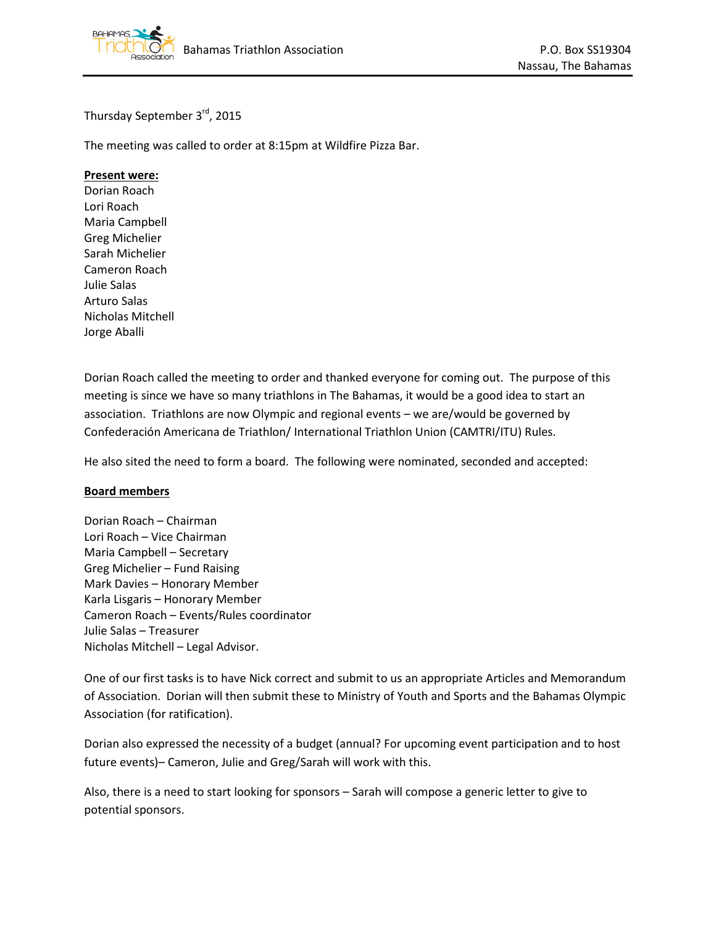

Thursday September 3rd, 2015

The meeting was called to order at 8:15pm at Wildfire Pizza Bar.

## **Present were:**

Dorian Roach Lori Roach Maria Campbell Greg Michelier Sarah Michelier Cameron Roach Julie Salas Arturo Salas Nicholas Mitchell Jorge Aballi

Dorian Roach called the meeting to order and thanked everyone for coming out. The purpose of this meeting is since we have so many triathlons in The Bahamas, it would be a good idea to start an association. Triathlons are now Olympic and regional events – we are/would be governed by Confederación Americana de Triathlon/ International Triathlon Union (CAMTRI/ITU) Rules.

He also sited the need to form a board. The following were nominated, seconded and accepted:

## **Board members**

Dorian Roach – Chairman Lori Roach – Vice Chairman Maria Campbell – Secretary Greg Michelier – Fund Raising Mark Davies – Honorary Member Karla Lisgaris – Honorary Member Cameron Roach – Events/Rules coordinator Julie Salas – Treasurer Nicholas Mitchell – Legal Advisor.

One of our first tasks is to have Nick correct and submit to us an appropriate Articles and Memorandum of Association. Dorian will then submit these to Ministry of Youth and Sports and the Bahamas Olympic Association (for ratification).

Dorian also expressed the necessity of a budget (annual? For upcoming event participation and to host future events)– Cameron, Julie and Greg/Sarah will work with this.

Also, there is a need to start looking for sponsors – Sarah will compose a generic letter to give to potential sponsors.